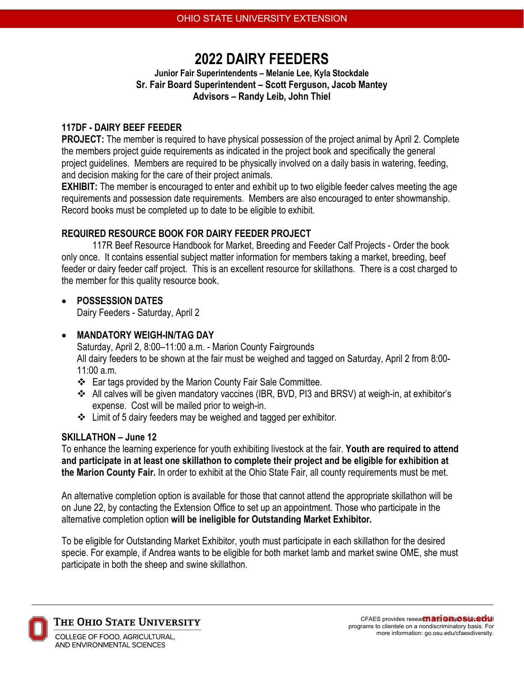# **2022 DAIRY FEEDERS**

**Junior Fair Superintendents – Melanie Lee, Kyla Stockdale Sr. Fair Board Superintendent – Scott Ferguson, Jacob Mantey Advisors – Randy Leib, John Thiel**

#### **117DF - DAIRY BEEF FEEDER**

**PROJECT:** The member is required to have physical possession of the project animal by April 2. Complete the members project guide requirements as indicated in the project book and specifically the general project guidelines. Members are required to be physically involved on a daily basis in watering, feeding, and decision making for the care of their project animals.

**EXHIBIT:** The member is encouraged to enter and exhibit up to two eligible feeder calves meeting the age requirements and possession date requirements. Members are also encouraged to enter showmanship. Record books must be completed up to date to be eligible to exhibit.

# **REQUIRED RESOURCE BOOK FOR DAIRY FEEDER PROJECT**

117R Beef Resource Handbook for Market, Breeding and Feeder Calf Projects - Order the book only once. It contains essential subject matter information for members taking a market, breeding, beef feeder or dairy feeder calf project. This is an excellent resource for skillathons. There is a cost charged to the member for this quality resource book.

# • **POSSESSION DATES**

Dairy Feeders - Saturday, April 2

# • **MANDATORY WEIGH-IN/TAG DAY**

Saturday, April 2, 8:00–11:00 a.m. - Marion County Fairgrounds All dairy feeders to be shown at the fair must be weighed and tagged on Saturday, April 2 from 8:00- 11:00 a.m.

- Ear tags provided by the Marion County Fair Sale Committee.
- All calves will be given mandatory vaccines (IBR, BVD, PI3 and BRSV) at weigh-in, at exhibitor's expense. Cost will be mailed prior to weigh-in.
- Limit of 5 dairy feeders may be weighed and tagged per exhibitor.

# **SKILLATHON – June 12**

To enhance the learning experience for youth exhibiting livestock at the fair. **Youth are required to attend and participate in at least one skillathon to complete their project and be eligible for exhibition at the Marion County Fair.** In order to exhibit at the Ohio State Fair, all county requirements must be met.

An alternative completion option is available for those that cannot attend the appropriate skillathon will be on June 22, by contacting the Extension Office to set up an appointment. Those who participate in the alternative completion option **will be ineligible for Outstanding Market Exhibitor.**

To be eligible for Outstanding Market Exhibitor, youth must participate in each skillathon for the desired specie. For example, if Andrea wants to be eligible for both market lamb and market swine OME, she must participate in both the sheep and swine skillathon.



THE OHIO STATE UNIVERSITY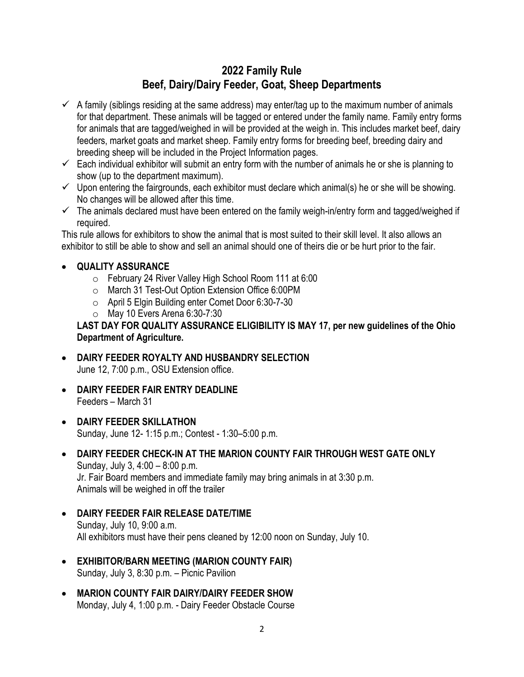# **2022 Family Rule Beef, Dairy/Dairy Feeder, Goat, Sheep Departments**

- $\checkmark$  A family (siblings residing at the same address) may enter/tag up to the maximum number of animals for that department. These animals will be tagged or entered under the family name. Family entry forms for animals that are tagged/weighed in will be provided at the weigh in. This includes market beef, dairy feeders, market goats and market sheep. Family entry forms for breeding beef, breeding dairy and breeding sheep will be included in the Project Information pages.
- $\checkmark$  Each individual exhibitor will submit an entry form with the number of animals he or she is planning to show (up to the department maximum).
- $\checkmark$  Upon entering the fairgrounds, each exhibitor must declare which animal(s) he or she will be showing. No changes will be allowed after this time.
- $\checkmark$  The animals declared must have been entered on the family weigh-in/entry form and tagged/weighed if required.

This rule allows for exhibitors to show the animal that is most suited to their skill level. It also allows an exhibitor to still be able to show and sell an animal should one of theirs die or be hurt prior to the fair.

#### • **QUALITY ASSURANCE**

- o February 24 River Valley High School Room 111 at 6:00
- o March 31 Test-Out Option Extension Office 6:00PM
- o April 5 Elgin Building enter Comet Door 6:30-7-30
- o May 10 Evers Arena 6:30-7:30

**LAST DAY FOR QUALITY ASSURANCE ELIGIBILITY IS MAY 17, per new guidelines of the Ohio Department of Agriculture.**

- **DAIRY FEEDER ROYALTY AND HUSBANDRY SELECTION**  June 12, 7:00 p.m., OSU Extension office.
- **DAIRY FEEDER FAIR ENTRY DEADLINE** Feeders – March 31
- **DAIRY FEEDER SKILLATHON** Sunday, June 12- 1:15 p.m.; Contest - 1:30–5:00 p.m.
- **DAIRY FEEDER CHECK-IN AT THE MARION COUNTY FAIR THROUGH WEST GATE ONLY** Sunday, July 3, 4:00 – 8:00 p.m. Jr. Fair Board members and immediate family may bring animals in at 3:30 p.m. Animals will be weighed in off the trailer
- **DAIRY FEEDER FAIR RELEASE DATE/TIME** Sunday, July 10, 9:00 a.m. All exhibitors must have their pens cleaned by 12:00 noon on Sunday, July 10.
- **EXHIBITOR/BARN MEETING (MARION COUNTY FAIR)**  Sunday, July 3, 8:30 p.m. – Picnic Pavilion
- **MARION COUNTY FAIR DAIRY/DAIRY FEEDER SHOW** Monday, July 4, 1:00 p.m. - Dairy Feeder Obstacle Course